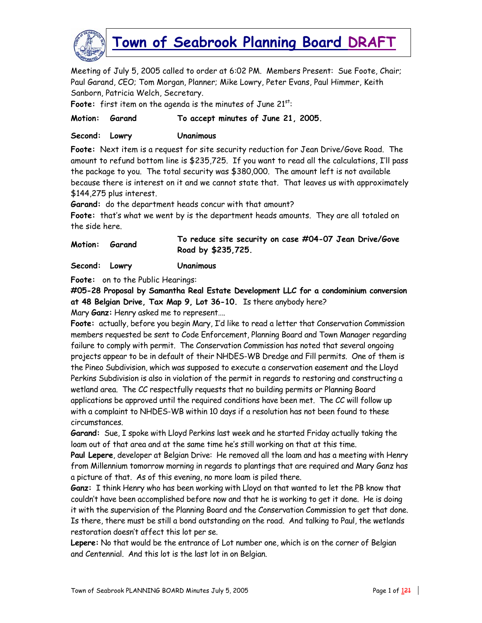

Meeting of July 5, 2005 called to order at 6:02 PM. Members Present: Sue Foote, Chair; Paul Garand, CEO; Tom Morgan, Planner; Mike Lowry, Peter Evans, Paul Himmer, Keith Sanborn, Patricia Welch, Secretary.

Foote: first item on the agenda is the minutes of June 21<sup>st</sup>:

#### **Motion: Garand To accept minutes of June 21, 2005.**

**Second: Lowry Unanimous** 

**Foote:** Next item is a request for site security reduction for Jean Drive/Gove Road. The amount to refund bottom line is \$235,725. If you want to read all the calculations, I'll pass the package to you. The total security was \$380,000. The amount left is not available because there is interest on it and we cannot state that. That leaves us with approximately \$144,275 plus interest.

**Garand:** do the department heads concur with that amount?

**Foote:** that's what we went by is the department heads amounts. They are all totaled on the side here.

**Motion: Garand To reduce site security on case #04-07 Jean Drive/Gove Road by \$235,725.** 

**Second: Lowry Unanimous** 

**Foote:** on to the Public Hearings:

**#05-28 Proposal by Samantha Real Estate Development LLC for a condominium conversion at 48 Belgian Drive, Tax Map 9, Lot 36-10.** Is there anybody here?

Mary **Ganz:** Henry asked me to represent….

**Foote:** actually, before you begin Mary, I'd like to read a letter that Conservation Commission members requested be sent to Code Enforcement, Planning Board and Town Manager regarding failure to comply with permit. The Conservation Commission has noted that several ongoing projects appear to be in default of their NHDES-WB Dredge and Fill permits. One of them is the Pineo Subdivision, which was supposed to execute a conservation easement and the Lloyd Perkins Subdivision is also in violation of the permit in regards to restoring and constructing a wetland area. The CC respectfully requests that no building permits or Planning Board applications be approved until the required conditions have been met. The CC will follow up with a complaint to NHDES-WB within 10 days if a resolution has not been found to these circumstances.

**Garand:** Sue, I spoke with Lloyd Perkins last week and he started Friday actually taking the loam out of that area and at the same time he's still working on that at this time.

**Paul Lepere**, developer at Belgian Drive: He removed all the loam and has a meeting with Henry from Millennium tomorrow morning in regards to plantings that are required and Mary Ganz has a picture of that. As of this evening, no more loam is piled there.

**Ganz:** I think Henry who has been working with Lloyd on that wanted to let the PB know that couldn't have been accomplished before now and that he is working to get it done. He is doing it with the supervision of the Planning Board and the Conservation Commission to get that done. Is there, there must be still a bond outstanding on the road. And talking to Paul, the wetlands restoration doesn't affect this lot per se.

**Lepere:** No that would be the entrance of Lot number one, which is on the corner of Belgian and Centennial. And this lot is the last lot in on Belgian.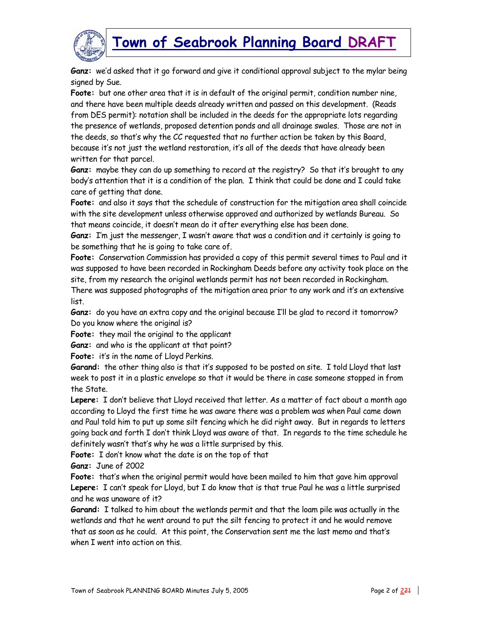



**Ganz:** we'd asked that it go forward and give it conditional approval subject to the mylar being signed by Sue.

**Foote:** but one other area that it is in default of the original permit, condition number nine, and there have been multiple deeds already written and passed on this development. (Reads from DES permit): notation shall be included in the deeds for the appropriate lots regarding the presence of wetlands, proposed detention ponds and all drainage swales. Those are not in the deeds, so that's why the CC requested that no further action be taken by this Board, because it's not just the wetland restoration, it's all of the deeds that have already been written for that parcel.

**Ganz:** maybe they can do up something to record at the registry? So that it's brought to any body's attention that it is a condition of the plan. I think that could be done and I could take care of getting that done.

**Foote:** and also it says that the schedule of construction for the mitigation area shall coincide with the site development unless otherwise approved and authorized by wetlands Bureau. So that means coincide, it doesn't mean do it after everything else has been done.

**Ganz:** I'm just the messenger, I wasn't aware that was a condition and it certainly is going to be something that he is going to take care of.

**Foote:** Conservation Commission has provided a copy of this permit several times to Paul and it was supposed to have been recorded in Rockingham Deeds before any activity took place on the site, from my research the original wetlands permit has not been recorded in Rockingham.

There was supposed photographs of the mitigation area prior to any work and it's an extensive list.

**Ganz:** do you have an extra copy and the original because I'll be glad to record it tomorrow? Do you know where the original is?

**Foote:** they mail the original to the applicant

**Ganz:** and who is the applicant at that point?

**Foote:** it's in the name of Lloyd Perkins.

**Garand:** the other thing also is that it's supposed to be posted on site. I told Lloyd that last week to post it in a plastic envelope so that it would be there in case someone stopped in from the State.

**Lepere:** I don't believe that Lloyd received that letter. As a matter of fact about a month ago according to Lloyd the first time he was aware there was a problem was when Paul came down and Paul told him to put up some silt fencing which he did right away. But in regards to letters going back and forth I don't think Lloyd was aware of that. In regards to the time schedule he definitely wasn't that's why he was a little surprised by this.

**Foote:** I don't know what the date is on the top of that

**Ganz:** June of 2002

**Foote:** that's when the original permit would have been mailed to him that gave him approval **Lepere:** I can't speak for Lloyd, but I do know that is that true Paul he was a little surprised and he was unaware of it?

**Garand:** I talked to him about the wetlands permit and that the loam pile was actually in the wetlands and that he went around to put the silt fencing to protect it and he would remove that as soon as he could. At this point, the Conservation sent me the last memo and that's when I went into action on this.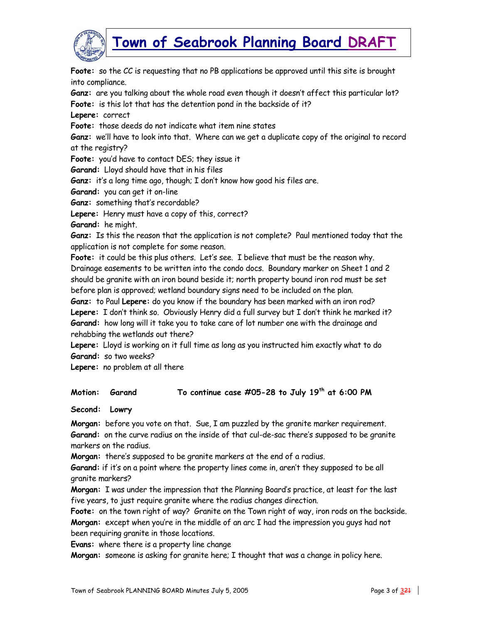

**Foote:** so the CC is requesting that no PB applications be approved until this site is brought into compliance.

**Ganz:** are you talking about the whole road even though it doesn't affect this particular lot? **Foote:** is this lot that has the detention pond in the backside of it?

**Lepere:** correct

**Foote:** those deeds do not indicate what item nine states

**Ganz:** we'll have to look into that. Where can we get a duplicate copy of the original to record at the registry?

**Foote:** you'd have to contact DES; they issue it

**Garand:** Lloyd should have that in his files

**Ganz:** it's a long time ago, though; I don't know how good his files are.

**Garand:** you can get it on-line

**Ganz:** something that's recordable?

**Lepere:** Henry must have a copy of this, correct?

**Garand:** he might.

**Ganz:** Is this the reason that the application is not complete? Paul mentioned today that the application is not complete for some reason.

**Foote:** it could be this plus others. Let's see. I believe that must be the reason why. Drainage easements to be written into the condo docs. Boundary marker on Sheet 1 and 2 should be granite with an iron bound beside it; north property bound iron rod must be set before plan is approved; wetland boundary signs need to be included on the plan.

**Ganz:** to Paul **Lepere:** do you know if the boundary has been marked with an iron rod? **Lepere:** I don't think so. Obviously Henry did a full survey but I don't think he marked it? **Garand:** how long will it take you to take care of lot number one with the drainage and rehabbing the wetlands out there?

**Lepere:** Lloyd is working on it full time as long as you instructed him exactly what to do **Garand:** so two weeks?

**Lepere:** no problem at all there

#### **Motion: Garand To continue case #05-28 to July 19th at 6:00 PM**

**Second: Lowry** 

**Morgan:** before you vote on that. Sue, I am puzzled by the granite marker requirement. **Garand:** on the curve radius on the inside of that cul-de-sac there's supposed to be granite markers on the radius.

**Morgan:** there's supposed to be granite markers at the end of a radius.

**Garand:** if it's on a point where the property lines come in, aren't they supposed to be all granite markers?

**Morgan:** I was under the impression that the Planning Board's practice, at least for the last five years, to just require granite where the radius changes direction.

**Foote:** on the town right of way? Granite on the Town right of way, iron rods on the backside. **Morgan:** except when you're in the middle of an arc I had the impression you guys had not been requiring granite in those locations.

**Evans:** where there is a property line change

**Morgan:** someone is asking for granite here; I thought that was a change in policy here.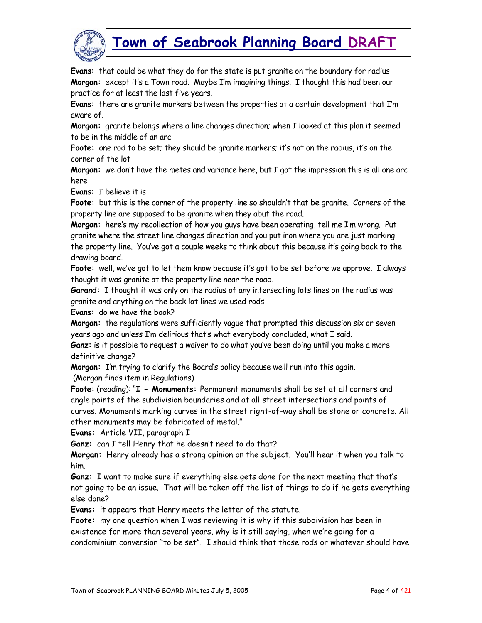

**Evans:** that could be what they do for the state is put granite on the boundary for radius **Morgan:** except it's a Town road. Maybe I'm imagining things. I thought this had been our practice for at least the last five years.

**Evans:** there are granite markers between the properties at a certain development that I'm aware of.

**Morgan:** granite belongs where a line changes direction; when I looked at this plan it seemed to be in the middle of an arc

**Foote:** one rod to be set; they should be granite markers; it's not on the radius, it's on the corner of the lot

**Morgan:** we don't have the metes and variance here, but I got the impression this is all one arc here

**Evans:** I believe it is

**Foote:** but this is the corner of the property line so shouldn't that be granite. Corners of the property line are supposed to be granite when they abut the road.

**Morgan:** here's my recollection of how you guys have been operating, tell me I'm wrong. Put granite where the street line changes direction and you put iron where you are just marking the property line. You've got a couple weeks to think about this because it's going back to the drawing board.

**Foote:** well, we've got to let them know because it's got to be set before we approve. I always thought it was granite at the property line near the road.

**Garand:** I thought it was only on the radius of any intersecting lots lines on the radius was granite and anything on the back lot lines we used rods

**Evans:** do we have the book?

**Morgan:** the regulations were sufficiently vague that prompted this discussion six or seven years ago and unless I'm delirious that's what everybody concluded, what I said.

**Ganz:** is it possible to request a waiver to do what you've been doing until you make a more definitive change?

**Morgan:** I'm trying to clarify the Board's policy because we'll run into this again. (Morgan finds item in Regulations)

**Foote:** (reading): "**I - Monuments:** Permanent monuments shall be set at all corners and angle points of the subdivision boundaries and at all street intersections and points of curves. Monuments marking curves in the street right-of-way shall be stone or concrete. All other monuments may be fabricated of metal."

**Evans:** Article VII, paragraph I

**Ganz:** can I tell Henry that he doesn't need to do that?

**Morgan:** Henry already has a strong opinion on the subject. You'll hear it when you talk to him.

**Ganz:** I want to make sure if everything else gets done for the next meeting that that's not going to be an issue. That will be taken off the list of things to do if he gets everything else done?

**Evans:** it appears that Henry meets the letter of the statute.

**Foote:** my one question when I was reviewing it is why if this subdivision has been in existence for more than several years, why is it still saying, when we're going for a condominium conversion "to be set". I should think that those rods or whatever should have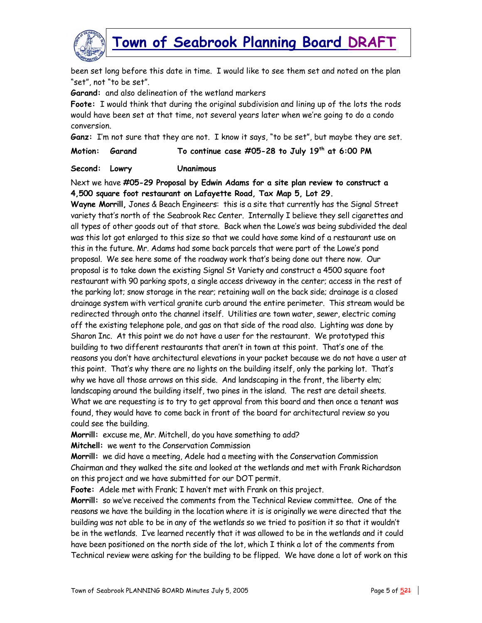

been set long before this date in time. I would like to see them set and noted on the plan "set", not "to be set".

**Garand:** and also delineation of the wetland markers

**Foote:** I would think that during the original subdivision and lining up of the lots the rods would have been set at that time, not several years later when we're going to do a condo conversion.

**Ganz:** I'm not sure that they are not. I know it says, "to be set", but maybe they are set.

**Motion: Garand To continue case #05-28 to July 19th at 6:00 PM** 

**Second: Lowry Unanimous** 

Next we have **#05-29 Proposal by Edwin Adams for a site plan review to construct a 4,500 square foot restaurant on Lafayette Road, Tax Map 5, Lot 29.**

**Wayne Morrill,** Jones & Beach Engineers: this is a site that currently has the Signal Street variety that's north of the Seabrook Rec Center. Internally I believe they sell cigarettes and all types of other goods out of that store. Back when the Lowe's was being subdivided the deal was this lot got enlarged to this size so that we could have some kind of a restaurant use on this in the future. Mr. Adams had some back parcels that were part of the Lowe's pond proposal. We see here some of the roadway work that's being done out there now. Our proposal is to take down the existing Signal St Variety and construct a 4500 square foot restaurant with 90 parking spots, a single access driveway in the center; access in the rest of the parking lot; snow storage in the rear; retaining wall on the back side; drainage is a closed drainage system with vertical granite curb around the entire perimeter. This stream would be redirected through onto the channel itself. Utilities are town water, sewer, electric coming off the existing telephone pole, and gas on that side of the road also. Lighting was done by Sharon Inc. At this point we do not have a user for the restaurant. We prototyped this building to two different restaurants that aren't in town at this point. That's one of the reasons you don't have architectural elevations in your packet because we do not have a user at this point. That's why there are no lights on the building itself, only the parking lot. That's why we have all those arrows on this side. And landscaping in the front, the liberty elm; landscaping around the building itself, two pines in the island. The rest are detail sheets. What we are requesting is to try to get approval from this board and then once a tenant was found, they would have to come back in front of the board for architectural review so you could see the building.

**Morrill:** excuse me, Mr. Mitchell, do you have something to add?

**Mitchell:** we went to the Conservation Commission

**Morrill:** we did have a meeting, Adele had a meeting with the Conservation Commission Chairman and they walked the site and looked at the wetlands and met with Frank Richardson on this project and we have submitted for our DOT permit.

**Foote:** Adele met with Frank; I haven't met with Frank on this project.

**Morrill:** so we've received the comments from the Technical Review committee. One of the reasons we have the building in the location where it is is originally we were directed that the building was not able to be in any of the wetlands so we tried to position it so that it wouldn't be in the wetlands. I've learned recently that it was allowed to be in the wetlands and it could have been positioned on the north side of the lot, which I think a lot of the comments from Technical review were asking for the building to be flipped. We have done a lot of work on this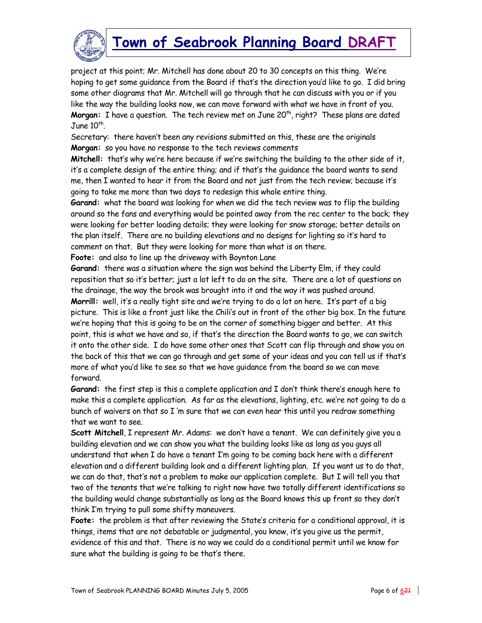

project at this point; Mr. Mitchell has done about 20 to 30 concepts on this thing. We're hoping to get some guidance from the Board if that's the direction you'd like to go. I did bring some other diagrams that Mr. Mitchell will go through that he can discuss with you or if you like the way the building looks now, we can move forward with what we have in front of you. **Morgan:** I have a question. The tech review met on June 20<sup>th</sup>, right? These plans are dated June  $10^{th}$ .

Secretary: there haven't been any revisions submitted on this, these are the originals **Morgan:** so you have no response to the tech reviews comments

**Mitchell:** that's why we're here because if we're switching the building to the other side of it, it's a complete design of the entire thing; and if that's the guidance the board wants to send me, then I wanted to hear it from the Board and not just from the tech review; because it's going to take me more than two days to redesign this whole entire thing.

**Garand:** what the board was looking for when we did the tech review was to flip the building around so the fans and everything would be pointed away from the rec center to the back; they were looking for better loading details; they were looking for snow storage; better details on the plan itself. There are no building elevations and no designs for lighting so it's hard to comment on that. But they were looking for more than what is on there.

**Foote:** and also to line up the driveway with Boynton Lane

**Garand:** there was a situation where the sign was behind the Liberty Elm, if they could reposition that so it's better; just a lot left to do on the site. There are a lot of questions on the drainage, the way the brook was brought into it and the way it was pushed around. **Morrill:** well, it's a really tight site and we're trying to do a lot on here. It's part of a big picture. This is like a front just like the Chili's out in front of the other big box. In the future we're hoping that this is going to be on the corner of something bigger and better. At this point, this is what we have and so, if that's the direction the Board wants to go, we can switch it onto the other side. I do have some other ones that Scott can flip through and show you on the back of this that we can go through and get some of your ideas and you can tell us if that's more of what you'd like to see so that we have guidance from the board so we can move forward.

**Garand:** the first step is this a complete application and I don't think there's enough here to make this a complete application. As far as the elevations, lighting, etc. we're not going to do a bunch of waivers on that so I 'm sure that we can even hear this until you redraw something that we want to see.

**Scott Mitchell**, I represent Mr. Adams: we don't have a tenant. We can definitely give you a building elevation and we can show you what the building looks like as long as you guys all understand that when I do have a tenant I'm going to be coming back here with a different elevation and a different building look and a different lighting plan. If you want us to do that, we can do that, that's not a problem to make our application complete. But I will tell you that two of the tenants that we're talking to right now have two totally different identifications so the building would change substantially as long as the Board knows this up front so they don't think I'm trying to pull some shifty maneuvers.

**Foote:** the problem is that after reviewing the State's criteria for a conditional approval, it is things, items that are not debatable or judgmental, you know, it's you give us the permit, evidence of this and that. There is no way we could do a conditional permit until we know for sure what the building is going to be that's there.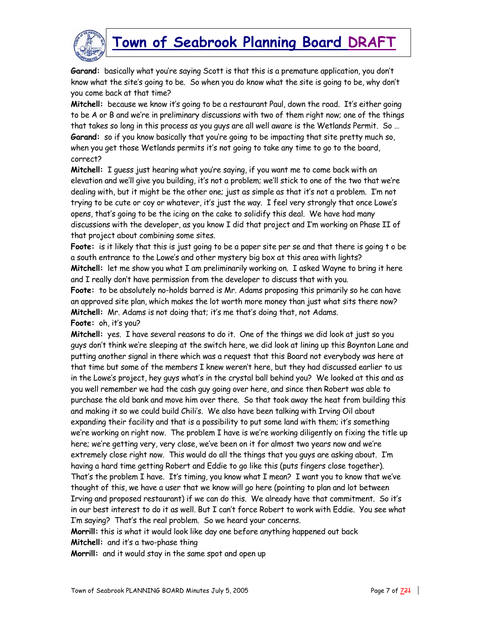

**Garand:** basically what you're saying Scott is that this is a premature application, you don't know what the site's going to be. So when you do know what the site is going to be, why don't you come back at that time?

**Mitchell:** because we know it's going to be a restaurant Paul, down the road. It's either going to be A or B and we're in preliminary discussions with two of them right now; one of the things that takes so long in this process as you guys are all well aware is the Wetlands Permit. So … **Garand:** so if you know basically that you're going to be impacting that site pretty much so, when you get those Wetlands permits it's not going to take any time to go to the board, correct?

**Mitchell:** I guess just hearing what you're saying, if you want me to come back with an elevation and we'll give you building, it's not a problem; we'll stick to one of the two that we're dealing with, but it might be the other one; just as simple as that it's not a problem. I'm not trying to be cute or coy or whatever, it's just the way. I feel very strongly that once Lowe's opens, that's going to be the icing on the cake to solidify this deal. We have had many discussions with the developer, as you know I did that project and I'm working on Phase II of that project about combining some sites.

**Foote:** is it likely that this is just going to be a paper site per se and that there is going t o be a south entrance to the Lowe's and other mystery big box at this area with lights? **Mitchell:** let me show you what I am preliminarily working on. I asked Wayne to bring it here and I really don't have permission from the developer to discuss that with you.

**Foote:** to be absolutely no-holds barred is Mr. Adams proposing this primarily so he can have an approved site plan, which makes the lot worth more money than just what sits there now? **Mitchell:** Mr. Adams is not doing that; it's me that's doing that, not Adams.

**Foote:** oh, it's you?

**Mitchell:** yes. I have several reasons to do it. One of the things we did look at just so you guys don't think we're sleeping at the switch here, we did look at lining up this Boynton Lane and putting another signal in there which was a request that this Board not everybody was here at that time but some of the members I knew weren't here, but they had discussed earlier to us in the Lowe's project, hey guys what's in the crystal ball behind you? We looked at this and as you well remember we had the cash guy going over here, and since then Robert was able to purchase the old bank and move him over there. So that took away the heat from building this and making it so we could build Chili's. We also have been talking with Irving Oil about expanding their facility and that is a possibility to put some land with them; it's something we're working on right now. The problem I have is we're working diligently on fixing the title up here; we're getting very, very close, we've been on it for almost two years now and we're extremely close right now. This would do all the things that you guys are asking about. I'm having a hard time getting Robert and Eddie to go like this (puts fingers close together). That's the problem I have. It's timing, you know what I mean? I want you to know that we've thought of this, we have a user that we know will go here (pointing to plan and lot between Irving and proposed restaurant) if we can do this. We already have that commitment. So it's in our best interest to do it as well. But I can't force Robert to work with Eddie. You see what I'm saying? That's the real problem. So we heard your concerns.

**Morrill:** this is what it would look like day one before anything happened out back **Mitchell:** and it's a two-phase thing

**Morrill:** and it would stay in the same spot and open up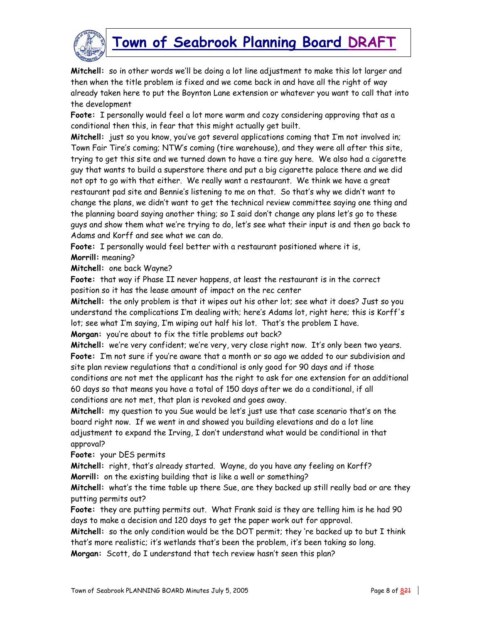

**Mitchell:** so in other words we'll be doing a lot line adjustment to make this lot larger and then when the title problem is fixed and we come back in and have all the right of way already taken here to put the Boynton Lane extension or whatever you want to call that into the development

**Foote:** I personally would feel a lot more warm and cozy considering approving that as a conditional then this, in fear that this might actually get built.

**Mitchell:** just so you know, you've got several applications coming that I'm not involved in; Town Fair Tire's coming; NTW's coming (tire warehouse), and they were all after this site, trying to get this site and we turned down to have a tire guy here. We also had a cigarette guy that wants to build a superstore there and put a big cigarette palace there and we did not opt to go with that either. We really want a restaurant. We think we have a great restaurant pad site and Bennie's listening to me on that. So that's why we didn't want to change the plans, we didn't want to get the technical review committee saying one thing and the planning board saying another thing; so I said don't change any plans let's go to these guys and show them what we're trying to do, let's see what their input is and then go back to Adams and Korff and see what we can do.

**Foote:** I personally would feel better with a restaurant positioned where it is, **Morrill:** meaning?

**Mitchell:** one back Wayne?

**Foote:** that way if Phase II never happens, at least the restaurant is in the correct position so it has the lease amount of impact on the rec center

**Mitchell:** the only problem is that it wipes out his other lot; see what it does? Just so you understand the complications I'm dealing with; here's Adams lot, right here; this is Korff's lot; see what I'm saying, I'm wiping out half his lot. That's the problem I have. **Morgan:** you're about to fix the title problems out back?

**Mitchell:** we're very confident; we're very, very close right now. It's only been two years. **Foote:** I'm not sure if you're aware that a month or so ago we added to our subdivision and site plan review regulations that a conditional is only good for 90 days and if those conditions are not met the applicant has the right to ask for one extension for an additional 60 days so that means you have a total of 150 days after we do a conditional, if all conditions are not met, that plan is revoked and goes away.

**Mitchell:** my question to you Sue would be let's just use that case scenario that's on the board right now. If we went in and showed you building elevations and do a lot line adjustment to expand the Irving, I don't understand what would be conditional in that approval?

**Foote:** your DES permits

**Mitchell:** right, that's already started. Wayne, do you have any feeling on Korff? **Morrill:** on the existing building that is like a well or something?

**Mitchell:** what's the time table up there Sue, are they backed up still really bad or are they putting permits out?

**Foote:** they are putting permits out. What Frank said is they are telling him is he had 90 days to make a decision and 120 days to get the paper work out for approval.

**Mitchell:** so the only condition would be the DOT permit; they 're backed up to but I think that's more realistic; it's wetlands that's been the problem, it's been taking so long.

**Morgan:** Scott, do I understand that tech review hasn't seen this plan?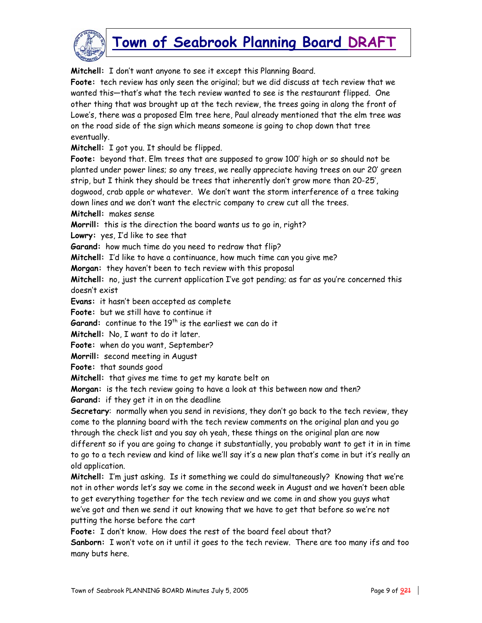

**Mitchell:** I don't want anyone to see it except this Planning Board.

**Foote:** tech review has only seen the original; but we did discuss at tech review that we wanted this—that's what the tech review wanted to see is the restaurant flipped. One other thing that was brought up at the tech review, the trees going in along the front of Lowe's, there was a proposed Elm tree here, Paul already mentioned that the elm tree was on the road side of the sign which means someone is going to chop down that tree eventually.

**Mitchell:** I got you. It should be flipped.

**Foote:** beyond that. Elm trees that are supposed to grow 100' high or so should not be planted under power lines; so any trees, we really appreciate having trees on our 20' green strip, but I think they should be trees that inherently don't grow more than 20-25',

dogwood, crab apple or whatever. We don't want the storm interference of a tree taking down lines and we don't want the electric company to crew cut all the trees.

**Mitchell:** makes sense

**Morrill:** this is the direction the board wants us to go in, right?

**Lowry:** yes, I'd like to see that

**Garand:** how much time do you need to redraw that flip?

**Mitchell:** I'd like to have a continuance, how much time can you give me?

**Morgan:** they haven't been to tech review with this proposal

**Mitchell:** no, just the current application I've got pending; as far as you're concerned this doesn't exist

**Evans:** it hasn't been accepted as complete

**Foote:** but we still have to continue it

Garand: continue to the 19<sup>th</sup> is the earliest we can do it

**Mitchell:** No, I want to do it later.

**Foote:** when do you want, September?

**Morrill:** second meeting in August

**Foote:** that sounds good

**Mitchell:** that gives me time to get my karate belt on

**Morgan:** is the tech review going to have a look at this between now and then?

**Garand:** if they get it in on the deadline

**Secretary**: normally when you send in revisions, they don't go back to the tech review, they come to the planning board with the tech review comments on the original plan and you go through the check list and you say oh yeah, these things on the original plan are now different so if you are going to change it substantially, you probably want to get it in in time to go to a tech review and kind of like we'll say it's a new plan that's come in but it's really an old application.

**Mitchell:** I'm just asking. Is it something we could do simultaneously? Knowing that we're not in other words let's say we come in the second week in August and we haven't been able to get everything together for the tech review and we come in and show you guys what we've got and then we send it out knowing that we have to get that before so we're not putting the horse before the cart

**Foote:** I don't know. How does the rest of the board feel about that?

**Sanborn:** I won't vote on it until it goes to the tech review. There are too many ifs and too many buts here.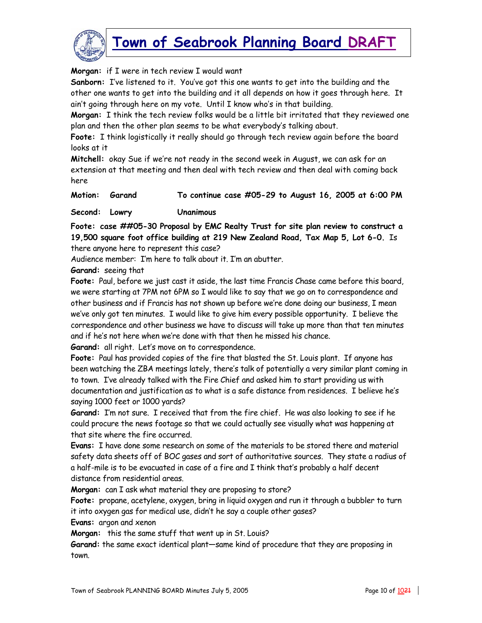

#### **Morgan:** if I were in tech review I would want

**Sanborn:** I've listened to it. You've got this one wants to get into the building and the other one wants to get into the building and it all depends on how it goes through here. It ain't going through here on my vote. Until I know who's in that building.

**Morgan:** I think the tech review folks would be a little bit irritated that they reviewed one plan and then the other plan seems to be what everybody's talking about.

**Foote:** I think logistically it really should go through tech review again before the board looks at it

**Mitchell:** okay Sue if we're not ready in the second week in August, we can ask for an extension at that meeting and then deal with tech review and then deal with coming back here

**Motion: Garand To continue case #05-29 to August 16, 2005 at 6:00 PM** 

#### **Second: Lowry Unanimous**

**Foote: case ##05-30 Proposal by EMC Realty Trust for site plan review to construct a 19,500 square foot office building at 219 New Zealand Road, Tax Map 5, Lot 6-0.** Is there anyone here to represent this case?

Audience member: I'm here to talk about it. I'm an abutter.

#### **Garand:** seeing that

**Foote:** Paul, before we just cast it aside, the last time Francis Chase came before this board, we were starting at 7PM not 6PM so I would like to say that we go on to correspondence and other business and if Francis has not shown up before we're done doing our business, I mean we've only got ten minutes. I would like to give him every possible opportunity. I believe the correspondence and other business we have to discuss will take up more than that ten minutes and if he's not here when we're done with that then he missed his chance.

**Garand:** all right. Let's move on to correspondence.

**Foote:** Paul has provided copies of the fire that blasted the St. Louis plant. If anyone has been watching the ZBA meetings lately, there's talk of potentially a very similar plant coming in to town. I've already talked with the Fire Chief and asked him to start providing us with documentation and justification as to what is a safe distance from residences. I believe he's saying 1000 feet or 1000 yards?

**Garand:** I'm not sure. I received that from the fire chief. He was also looking to see if he could procure the news footage so that we could actually see visually what was happening at that site where the fire occurred.

**Evans:** I have done some research on some of the materials to be stored there and material safety data sheets off of BOC gases and sort of authoritative sources. They state a radius of a half-mile is to be evacuated in case of a fire and I think that's probably a half decent distance from residential areas.

**Morgan:** can I ask what material they are proposing to store?

**Foote:** propane, acetylene, oxygen, bring in liquid oxygen and run it through a bubbler to turn it into oxygen gas for medical use, didn't he say a couple other gases?

**Evans:** argon and xenon

**Morgan:** this the same stuff that went up in St. Louis?

**Garand:** the same exact identical plant—same kind of procedure that they are proposing in town.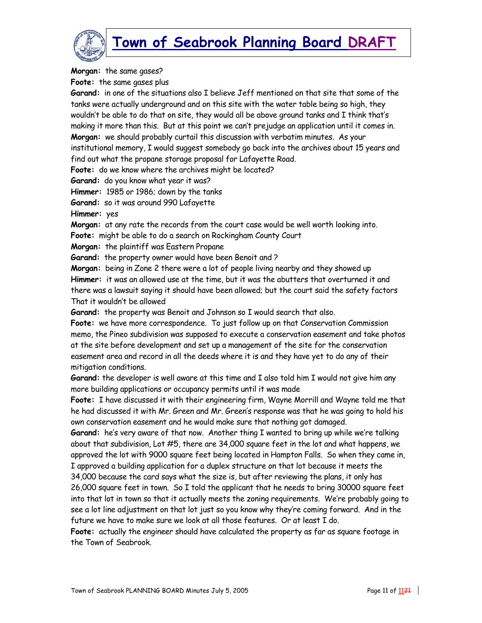

**Morgan:** the same gases?

**Foote:** the same gases plus

**Garand:** in one of the situations also I believe Jeff mentioned on that site that some of the tanks were actually underground and on this site with the water table being so high, they wouldn't be able to do that on site, they would all be above ground tanks and I think that's making it more than this. But at this point we can't prejudge an application until it comes in. **Morgan:** we should probably curtail this discussion with verbatim minutes. As your institutional memory, I would suggest somebody go back into the archives about 15 years and find out what the propane storage proposal for Lafayette Road.

**Foote:** do we know where the archives might be located?

**Garand:** do you know what year it was?

**Himmer:** 1985 or 1986; down by the tanks

**Garand:** so it was around 990 Lafayette

**Himmer:** yes

**Morgan:** at any rate the records from the court case would be well worth looking into.

**Foote:** might be able to do a search on Rockingham County Court

**Morgan:** the plaintiff was Eastern Propane

**Garand:** the property owner would have been Benoit and ?

**Morgan:** being in Zone 2 there were a lot of people living nearby and they showed up **Himmer:** it was an allowed use at the time, but it was the abutters that overturned it and there was a lawsuit saying it should have been allowed; but the court said the safety factors That it wouldn't be allowed

**Garand:** the property was Benoit and Johnson so I would search that also.

**Foote:** we have more correspondence. To just follow up on that Conservation Commission memo, the Pineo subdivision was supposed to execute a conservation easement and take photos at the site before development and set up a management of the site for the conservation easement area and record in all the deeds where it is and they have yet to do any of their mitigation conditions.

**Garand:** the developer is well aware at this time and I also told him I would not give him any more building applications or occupancy permits until it was made

**Foote:** I have discussed it with their engineering firm, Wayne Morrill and Wayne told me that he had discussed it with Mr. Green and Mr. Green's response was that he was going to hold his own conservation easement and he would make sure that nothing got damaged.

**Garand:** he's very aware of that now. Another thing I wanted to bring up while we're talking about that subdivision, Lot #5, there are 34,000 square feet in the lot and what happens, we approved the lot with 9000 square feet being located in Hampton Falls. So when they came in, I approved a building application for a duplex structure on that lot because it meets the

34,000 because the card says what the size is, but after reviewing the plans, it only has 26,000 square feet in town. So I told the applicant that he needs to bring 30000 square feet into that lot in town so that it actually meets the zoning requirements. We're probably going to see a lot line adjustment on that lot just so you know why they're coming forward. And in the future we have to make sure we look at all those features. Or at least I do.

**Foote:** actually the engineer should have calculated the property as far as square footage in the Town of Seabrook.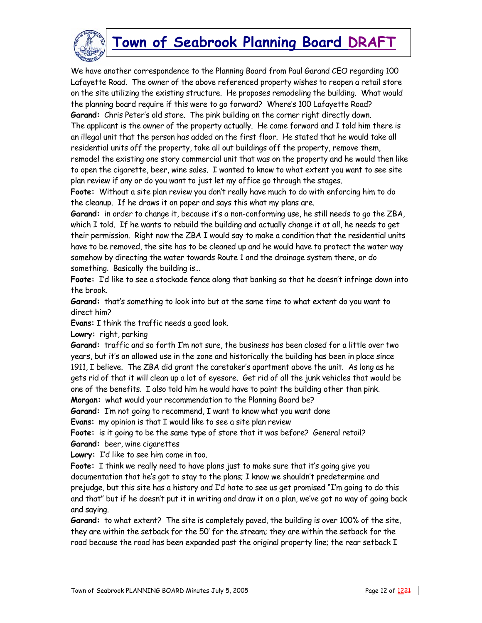

We have another correspondence to the Planning Board from Paul Garand CEO regarding 100 Lafayette Road. The owner of the above referenced property wishes to reopen a retail store on the site utilizing the existing structure. He proposes remodeling the building. What would the planning board require if this were to go forward? Where's 100 Lafayette Road? **Garand:** Chris Peter's old store. The pink building on the corner right directly down. The applicant is the owner of the property actually. He came forward and I told him there is an illegal unit that the person has added on the first floor. He stated that he would take all residential units off the property, take all out buildings off the property, remove them, remodel the existing one story commercial unit that was on the property and he would then like to open the cigarette, beer, wine sales. I wanted to know to what extent you want to see site plan review if any or do you want to just let my office go through the stages.

**Foote:** Without a site plan review you don't really have much to do with enforcing him to do the cleanup. If he draws it on paper and says this what my plans are.

**Garand:** in order to change it, because it's a non-conforming use, he still needs to go the ZBA, which I told. If he wants to rebuild the building and actually change it at all, he needs to get their permission. Right now the ZBA I would say to make a condition that the residential units have to be removed, the site has to be cleaned up and he would have to protect the water way somehow by directing the water towards Route 1 and the drainage system there, or do something. Basically the building is…

**Foote:** I'd like to see a stockade fence along that banking so that he doesn't infringe down into the brook.

**Garand:** that's something to look into but at the same time to what extent do you want to direct him?

**Evans:** I think the traffic needs a good look.

**Lowry:** right, parking

**Garand:** traffic and so forth I'm not sure, the business has been closed for a little over two years, but it's an allowed use in the zone and historically the building has been in place since 1911, I believe. The ZBA did grant the caretaker's apartment above the unit. As long as he gets rid of that it will clean up a lot of eyesore. Get rid of all the junk vehicles that would be one of the benefits. I also told him he would have to paint the building other than pink. **Morgan:** what would your recommendation to the Planning Board be?

**Garand:** I'm not going to recommend, I want to know what you want done

**Evans:** my opinion is that I would like to see a site plan review

Foote: is it going to be the same type of store that it was before? General retail? **Garand:** beer, wine cigarettes

**Lowry:** I'd like to see him come in too.

**Foote:** I think we really need to have plans just to make sure that it's going give you documentation that he's got to stay to the plans; I know we shouldn't predetermine and prejudge, but this site has a history and I'd hate to see us get promised "I'm going to do this and that" but if he doesn't put it in writing and draw it on a plan, we've got no way of going back and saying.

**Garand:** to what extent? The site is completely paved, the building is over 100% of the site, they are within the setback for the 50' for the stream; they are within the setback for the road because the road has been expanded past the original property line; the rear setback I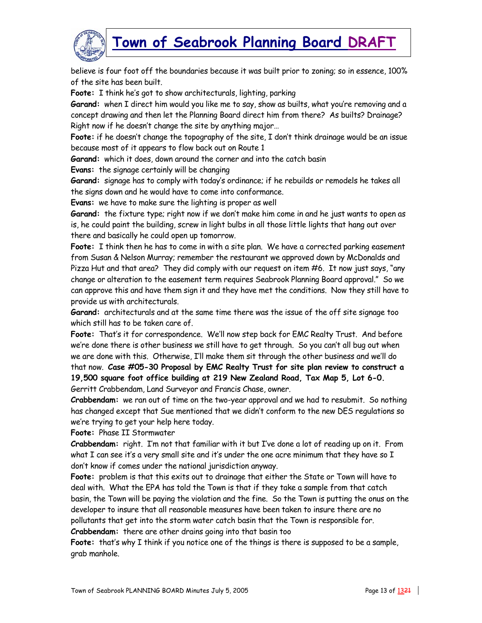

believe is four foot off the boundaries because it was built prior to zoning; so in essence, 100% of the site has been built.

**Foote:** I think he's got to show architecturals, lighting, parking

**Garand:** when I direct him would you like me to say, show as builts, what you're removing and a concept drawing and then let the Planning Board direct him from there? As builts? Drainage? Right now if he doesn't change the site by anything major…

**Foote:** if he doesn't change the topography of the site, I don't think drainage would be an issue because most of it appears to flow back out on Route 1

**Garand:** which it does, down around the corner and into the catch basin

**Evans:** the signage certainly will be changing

**Garand:** signage has to comply with today's ordinance; if he rebuilds or remodels he takes all the signs down and he would have to come into conformance.

**Evans:** we have to make sure the lighting is proper as well

**Garand:** the fixture type; right now if we don't make him come in and he just wants to open as is, he could paint the building, screw in light bulbs in all those little lights that hang out over there and basically he could open up tomorrow.

**Foote:** I think then he has to come in with a site plan. We have a corrected parking easement from Susan & Nelson Murray; remember the restaurant we approved down by McDonalds and Pizza Hut and that area? They did comply with our request on item #6. It now just says, "any change or alteration to the easement term requires Seabrook Planning Board approval." So we can approve this and have them sign it and they have met the conditions. Now they still have to provide us with architecturals.

**Garand:** architecturals and at the same time there was the issue of the off site signage too which still has to be taken care of.

**Foote:** That's it for correspondence. We'll now step back for EMC Realty Trust. And before we're done there is other business we still have to get through. So you can't all bug out when we are done with this. Otherwise, I'll make them sit through the other business and we'll do that now. **Case #05-30 Proposal by EMC Realty Trust for site plan review to construct a 19,500 square foot office building at 219 New Zealand Road, Tax Map 5, Lot 6-0.** Gerritt Crabbendam, Land Surveyor and Francis Chase, owner.

**Crabbendam:** we ran out of time on the two-year approval and we had to resubmit. So nothing has changed except that Sue mentioned that we didn't conform to the new DES regulations so we're trying to get your help here today.

**Foote:** Phase II Stormwater

**Crabbendam:** right. I'm not that familiar with it but I've done a lot of reading up on it. From what  $I$  can see it's a very small site and it's under the one acre minimum that they have so  $I$ don't know if comes under the national jurisdiction anyway.

**Foote:** problem is that this exits out to drainage that either the State or Town will have to deal with. What the EPA has told the Town is that if they take a sample from that catch basin, the Town will be paying the violation and the fine. So the Town is putting the onus on the developer to insure that all reasonable measures have been taken to insure there are no pollutants that get into the storm water catch basin that the Town is responsible for. **Crabbendam:** there are other drains going into that basin too

**Foote:** that's why I think if you notice one of the things is there is supposed to be a sample, grab manhole.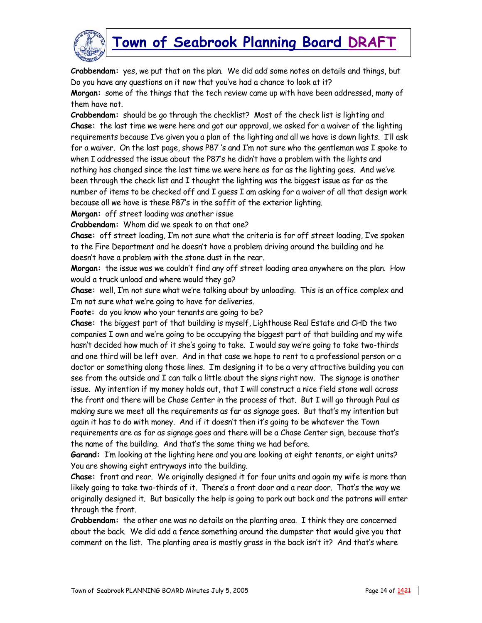

**Crabbendam:** yes, we put that on the plan. We did add some notes on details and things, but Do you have any questions on it now that you've had a chance to look at it? **Morgan:** some of the things that the tech review came up with have been addressed, many of

them have not.

**Crabbendam:** should be go through the checklist? Most of the check list is lighting and **Chase:** the last time we were here and got our approval, we asked for a waiver of the lighting requirements because I've given you a plan of the lighting and all we have is down lights. I'll ask for a waiver. On the last page, shows P87 's and I'm not sure who the gentleman was I spoke to when I addressed the issue about the P87's he didn't have a problem with the lights and nothing has changed since the last time we were here as far as the lighting goes. And we've been through the check list and I thought the lighting was the biggest issue as far as the number of items to be checked off and I guess I am asking for a waiver of all that design work because all we have is these P87's in the soffit of the exterior lighting.

**Morgan:** off street loading was another issue

**Crabbendam:** Whom did we speak to on that one?

**Chase:** off street loading, I'm not sure what the criteria is for off street loading, I've spoken to the Fire Department and he doesn't have a problem driving around the building and he doesn't have a problem with the stone dust in the rear.

**Morgan:** the issue was we couldn't find any off street loading area anywhere on the plan. How would a truck unload and where would they go?

**Chase:** well, I'm not sure what we're talking about by unloading. This is an office complex and I'm not sure what we're going to have for deliveries.

**Foote:** do you know who your tenants are going to be?

**Chase:** the biggest part of that building is myself, Lighthouse Real Estate and CHD the two companies I own and we're going to be occupying the biggest part of that building and my wife hasn't decided how much of it she's going to take. I would say we're going to take two-thirds and one third will be left over. And in that case we hope to rent to a professional person or a doctor or something along those lines. I'm designing it to be a very attractive building you can see from the outside and I can talk a little about the signs right now. The signage is another issue. My intention if my money holds out, that I will construct a nice field stone wall across the front and there will be Chase Center in the process of that. But I will go through Paul as making sure we meet all the requirements as far as signage goes. But that's my intention but again it has to do with money. And if it doesn't then it's going to be whatever the Town requirements are as far as signage goes and there will be a Chase Center sign, because that's the name of the building. And that's the same thing we had before.

**Garand:** I'm looking at the lighting here and you are looking at eight tenants, or eight units? You are showing eight entryways into the building.

**Chase:** front and rear. We originally designed it for four units and again my wife is more than likely going to take two-thirds of it. There's a front door and a rear door. That's the way we originally designed it. But basically the help is going to park out back and the patrons will enter through the front.

**Crabbendam:** the other one was no details on the planting area. I think they are concerned about the back. We did add a fence something around the dumpster that would give you that comment on the list. The planting area is mostly grass in the back isn't it? And that's where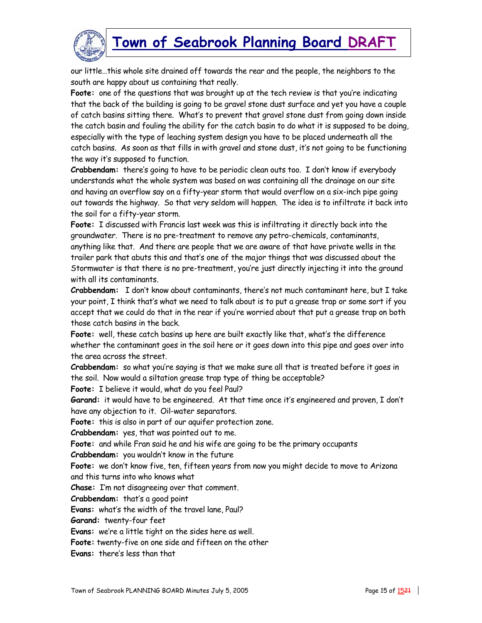

our little…this whole site drained off towards the rear and the people, the neighbors to the south are happy about us containing that really.

**Foote:** one of the questions that was brought up at the tech review is that you're indicating that the back of the building is going to be gravel stone dust surface and yet you have a couple of catch basins sitting there. What's to prevent that gravel stone dust from going down inside the catch basin and fouling the ability for the catch basin to do what it is supposed to be doing, especially with the type of leaching system design you have to be placed underneath all the catch basins. As soon as that fills in with gravel and stone dust, it's not going to be functioning the way it's supposed to function.

**Crabbendam:** there's going to have to be periodic clean outs too. I don't know if everybody understands what the whole system was based on was containing all the drainage on our site and having an overflow say on a fifty-year storm that would overflow on a six-inch pipe going out towards the highway. So that very seldom will happen. The idea is to infiltrate it back into the soil for a fifty-year storm.

**Foote:** I discussed with Francis last week was this is infiltrating it directly back into the groundwater. There is no pre-treatment to remove any petro-chemicals, contaminants, anything like that. And there are people that we are aware of that have private wells in the trailer park that abuts this and that's one of the major things that was discussed about the Stormwater is that there is no pre-treatment, you're just directly injecting it into the ground with all its contaminants.

**Crabbendam:** I don't know about contaminants, there's not much contaminant here, but I take your point, I think that's what we need to talk about is to put a grease trap or some sort if you accept that we could do that in the rear if you're worried about that put a grease trap on both those catch basins in the back.

**Foote:** well, these catch basins up here are built exactly like that, what's the difference whether the contaminant goes in the soil here or it goes down into this pipe and goes over into the area across the street.

**Crabbendam:** so what you're saying is that we make sure all that is treated before it goes in the soil. Now would a siltation grease trap type of thing be acceptable?

**Foote:** I believe it would, what do you feel Paul?

**Garand:** it would have to be engineered. At that time once it's engineered and proven, I don't have any objection to it. Oil-water separators.

**Foote:** this is also in part of our aquifer protection zone.

**Crabbendam:** yes, that was pointed out to me.

**Foote:** and while Fran said he and his wife are going to be the primary occupants

**Crabbendam:** you wouldn't know in the future

**Foote:** we don't know five, ten, fifteen years from now you might decide to move to Arizona and this turns into who knows what

**Chase:** I'm not disagreeing over that comment.

**Crabbendam:** that's a good point

**Evans:** what's the width of the travel lane, Paul?

**Garand:** twenty-four feet

**Evans:** we're a little tight on the sides here as well.

**Foote:** twenty-five on one side and fifteen on the other

**Evans:** there's less than that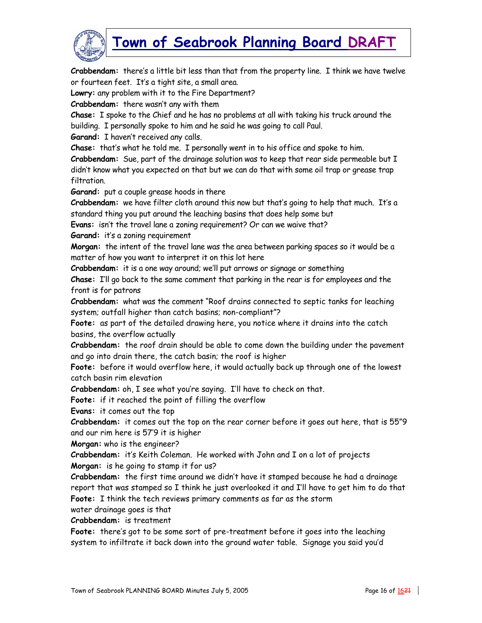

**Crabbendam:** there's a little bit less than that from the property line. I think we have twelve or fourteen feet. It's a tight site, a small area.

**Lowry:** any problem with it to the Fire Department?

**Crabbendam:** there wasn't any with them

**Chase:** I spoke to the Chief and he has no problems at all with taking his truck around the building. I personally spoke to him and he said he was going to call Paul.

**Garand:** I haven't received any calls.

**Chase:** that's what he told me. I personally went in to his office and spoke to him.

**Crabbendam:** Sue, part of the drainage solution was to keep that rear side permeable but I didn't know what you expected on that but we can do that with some oil trap or grease trap filtration.

**Garand:** put a couple grease hoods in there

**Crabbendam:** we have filter cloth around this now but that's going to help that much. It's a standard thing you put around the leaching basins that does help some but

**Evans:** isn't the travel lane a zoning requirement? Or can we waive that?

**Garand:** it's a zoning requirement

**Morgan:** the intent of the travel lane was the area between parking spaces so it would be a matter of how you want to interpret it on this lot here

**Crabbendam:** it is a one way around; we'll put arrows or signage or something

**Chase:** I'll go back to the same comment that parking in the rear is for employees and the front is for patrons

**Crabbendam:** what was the comment "Roof drains connected to septic tanks for leaching system; outfall higher than catch basins; non-compliant"?

**Foote:** as part of the detailed drawing here, you notice where it drains into the catch basins, the overflow actually

**Crabbendam:** the roof drain should be able to come down the building under the pavement and go into drain there, the catch basin; the roof is higher

**Foote:** before it would overflow here, it would actually back up through one of the lowest catch basin rim elevation

**Crabbendam:** oh, I see what you're saying. I'll have to check on that.

**Foote:** if it reached the point of filling the overflow

**Evans:** it comes out the top

**Crabbendam:** it comes out the top on the rear corner before it goes out here, that is 55"9 and our rim here is 57'9 it is higher

**Morgan:** who is the engineer?

**Crabbendam:** it's Keith Coleman. He worked with John and I on a lot of projects **Morgan:** is he going to stamp it for us?

**Crabbendam:** the first time around we didn't have it stamped because he had a drainage report that was stamped so I think he just overlooked it and I'll have to get him to do that **Foote:** I think the tech reviews primary comments as far as the storm

water drainage goes is that

**Crabbendam:** is treatment

**Foote:** there's got to be some sort of pre-treatment before it goes into the leaching system to infiltrate it back down into the ground water table. Signage you said you'd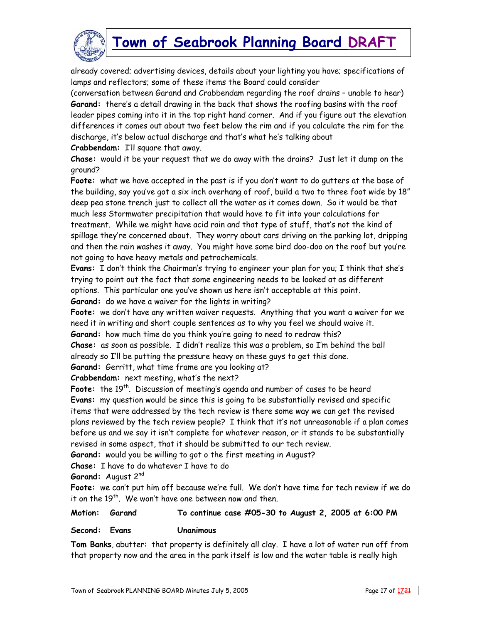

already covered; advertising devices, details about your lighting you have; specifications of lamps and reflectors; some of these items the Board could consider

(conversation between Garand and Crabbendam regarding the roof drains – unable to hear) **Garand:** there's a detail drawing in the back that shows the roofing basins with the roof leader pipes coming into it in the top right hand corner. And if you figure out the elevation differences it comes out about two feet below the rim and if you calculate the rim for the discharge, it's below actual discharge and that's what he's talking about

**Crabbendam:** I'll square that away.

**Chase:** would it be your request that we do away with the drains? Just let it dump on the ground?

**Foote:** what we have accepted in the past is if you don't want to do gutters at the base of the building, say you've got a six inch overhang of roof, build a two to three foot wide by 18" deep pea stone trench just to collect all the water as it comes down. So it would be that much less Stormwater precipitation that would have to fit into your calculations for treatment. While we might have acid rain and that type of stuff, that's not the kind of spillage they're concerned about. They worry about cars driving on the parking lot, dripping and then the rain washes it away. You might have some bird doo-doo on the roof but you're not going to have heavy metals and petrochemicals.

**Evans:** I don't think the Chairman's trying to engineer your plan for you; I think that she's trying to point out the fact that some engineering needs to be looked at as different options. This particular one you've shown us here isn't acceptable at this point.

**Garand:** do we have a waiver for the lights in writing?

**Foote:** we don't have any written waiver requests. Anything that you want a waiver for we need it in writing and short couple sentences as to why you feel we should waive it. **Garand:** how much time do you think you're going to need to redraw this?

**Chase:** as soon as possible. I didn't realize this was a problem, so I'm behind the ball already so I'll be putting the pressure heavy on these guys to get this done.

**Garand:** Gerritt, what time frame are you looking at?

**Crabbendam:** next meeting, what's the next?

Foote: the 19<sup>th</sup>. Discussion of meeting's agenda and number of cases to be heard **Evans:** my question would be since this is going to be substantially revised and specific items that were addressed by the tech review is there some way we can get the revised plans reviewed by the tech review people? I think that it's not unreasonable if a plan comes before us and we say it isn't complete for whatever reason, or it stands to be substantially revised in some aspect, that it should be submitted to our tech review.

**Garand:** would you be willing to got o the first meeting in August?

**Chase:** I have to do whatever I have to do

**Garand:** August 2nd

**Foote:** we can't put him off because we're full. We don't have time for tech review if we do it on the  $19<sup>th</sup>$ . We won't have one between now and then.

#### **Motion: Garand To continue case #05-30 to August 2, 2005 at 6:00 PM**

#### **Second: Evans Unanimous**

**Tom Banks**, abutter: that property is definitely all clay. I have a lot of water run off from that property now and the area in the park itself is low and the water table is really high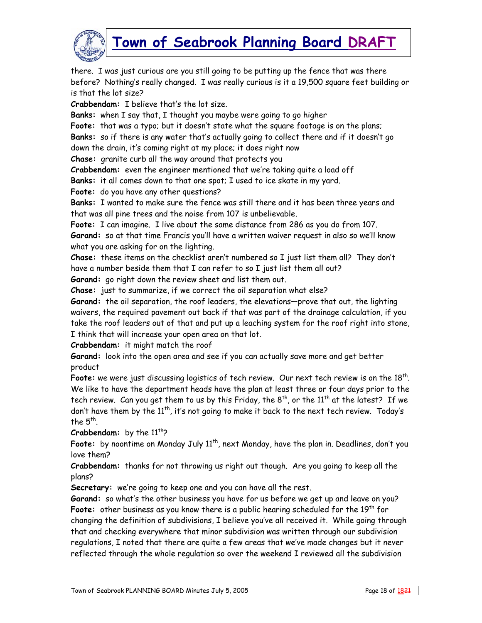

there. I was just curious are you still going to be putting up the fence that was there before? Nothing's really changed. I was really curious is it a 19,500 square feet building or is that the lot size?

**Crabbendam:** I believe that's the lot size.

**Banks:** when I say that, I thought you maybe were going to go higher

**Foote:** that was a typo; but it doesn't state what the square footage is on the plans;

**Banks:** so if there is any water that's actually going to collect there and if it doesn't go down the drain, it's coming right at my place; it does right now

**Chase:** granite curb all the way around that protects you

**Crabbendam:** even the engineer mentioned that we're taking quite a load off

**Banks:** it all comes down to that one spot; I used to ice skate in my yard.

**Foote:** do you have any other questions?

**Banks:** I wanted to make sure the fence was still there and it has been three years and that was all pine trees and the noise from 107 is unbelievable.

**Foote:** I can imagine. I live about the same distance from 286 as you do from 107.

**Garand:** so at that time Francis you'll have a written waiver request in also so we'll know what you are asking for on the lighting.

**Chase:** these items on the checklist aren't numbered so I just list them all? They don't have a number beside them that I can refer to so I just list them all out?

**Garand:** go right down the review sheet and list them out.

**Chase:** just to summarize, if we correct the oil separation what else?

**Garand:** the oil separation, the roof leaders, the elevations—prove that out, the lighting waivers, the required pavement out back if that was part of the drainage calculation, if you take the roof leaders out of that and put up a leaching system for the roof right into stone, I think that will increase your open area on that lot.

**Crabbendam:** it might match the roof

**Garand:** look into the open area and see if you can actually save more and get better product

**Foote:** we were just discussing logistics of tech review. Our next tech review is on the 18th. We like to have the department heads have the plan at least three or four days prior to the tech review. Can you get them to us by this Friday, the  $8^{th}$ , or the  $11^{th}$  at the latest? If we don't have them by the  $11^{th}$ , it's not going to make it back to the next tech review. Today's the  $5^{th}$ .

**Crabbendam:** by the 11<sup>th</sup>?

Foote: by noontime on Monday July 11<sup>th</sup>, next Monday, have the plan in. Deadlines, don't you love them?

**Crabbendam:** thanks for not throwing us right out though. Are you going to keep all the plans?

**Secretary:** we're going to keep one and you can have all the rest.

**Garand:** so what's the other business you have for us before we get up and leave on you? **Foote:** other business as you know there is a public hearing scheduled for the 19th for changing the definition of subdivisions, I believe you've all received it. While going through that and checking everywhere that minor subdivision was written through our subdivision regulations, I noted that there are quite a few areas that we've made changes but it never reflected through the whole regulation so over the weekend I reviewed all the subdivision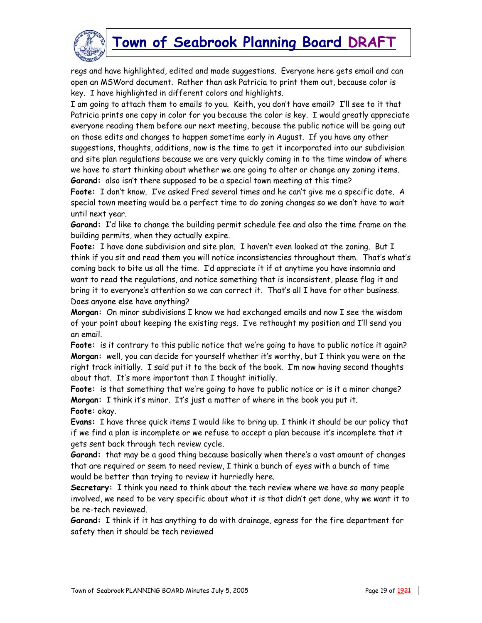

regs and have highlighted, edited and made suggestions. Everyone here gets email and can open an MSWord document. Rather than ask Patricia to print them out, because color is key. I have highlighted in different colors and highlights.

I am going to attach them to emails to you. Keith, you don't have email? I'll see to it that Patricia prints one copy in color for you because the color is key. I would greatly appreciate everyone reading them before our next meeting, because the public notice will be going out on those edits and changes to happen sometime early in August. If you have any other suggestions, thoughts, additions, now is the time to get it incorporated into our subdivision and site plan regulations because we are very quickly coming in to the time window of where we have to start thinking about whether we are going to alter or change any zoning items. **Garand:** also isn't there supposed to be a special town meeting at this time?

**Foote:** I don't know. I've asked Fred several times and he can't give me a specific date. A special town meeting would be a perfect time to do zoning changes so we don't have to wait until next year.

**Garand:** I'd like to change the building permit schedule fee and also the time frame on the building permits, when they actually expire.

**Foote:** I have done subdivision and site plan. I haven't even looked at the zoning. But I think if you sit and read them you will notice inconsistencies throughout them. That's what's coming back to bite us all the time. I'd appreciate it if at anytime you have insomnia and want to read the regulations, and notice something that is inconsistent, please flag it and bring it to everyone's attention so we can correct it. That's all I have for other business. Does anyone else have anything?

**Morgan:** On minor subdivisions I know we had exchanged emails and now I see the wisdom of your point about keeping the existing regs. I've rethought my position and I'll send you an email.

**Foote:** is it contrary to this public notice that we're going to have to public notice it again? **Morgan:** well, you can decide for yourself whether it's worthy, but I think you were on the right track initially. I said put it to the back of the book. I'm now having second thoughts about that. It's more important than I thought initially.

Foote: is that something that we're going to have to public notice or is it a minor change? **Morgan:** I think it's minor. It's just a matter of where in the book you put it. **Foote:** okay.

**Evans:** I have three quick items I would like to bring up. I think it should be our policy that if we find a plan is incomplete or we refuse to accept a plan because it's incomplete that it gets sent back through tech review cycle.

**Garand:** that may be a good thing because basically when there's a vast amount of changes that are required or seem to need review, I think a bunch of eyes with a bunch of time would be better than trying to review it hurriedly here.

**Secretary:** I think you need to think about the tech review where we have so many people involved, we need to be very specific about what it is that didn't get done, why we want it to be re-tech reviewed.

**Garand:** I think if it has anything to do with drainage, egress for the fire department for safety then it should be tech reviewed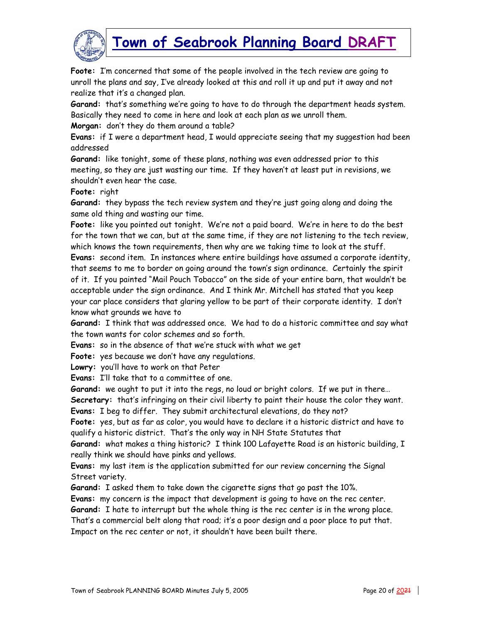

**Foote:** I'm concerned that some of the people involved in the tech review are going to unroll the plans and say, I've already looked at this and roll it up and put it away and not realize that it's a changed plan.

**Garand:** that's something we're going to have to do through the department heads system. Basically they need to come in here and look at each plan as we unroll them.

**Morgan:** don't they do them around a table?

**Evans:** if I were a department head, I would appreciate seeing that my suggestion had been addressed

**Garand:** like tonight, some of these plans, nothing was even addressed prior to this meeting, so they are just wasting our time. If they haven't at least put in revisions, we shouldn't even hear the case.

**Foote:** right

**Garand:** they bypass the tech review system and they're just going along and doing the same old thing and wasting our time.

**Foote:** like you pointed out tonight. We're not a paid board. We're in here to do the best for the town that we can, but at the same time, if they are not listening to the tech review, which knows the town requirements, then why are we taking time to look at the stuff. **Evans:** second item. In instances where entire buildings have assumed a corporate identity, that seems to me to border on going around the town's sign ordinance. Certainly the spirit

of it. If you painted "Mail Pouch Tobacco" on the side of your entire barn, that wouldn't be acceptable under the sign ordinance. And I think Mr. Mitchell has stated that you keep your car place considers that glaring yellow to be part of their corporate identity. I don't know what grounds we have to

**Garand:** I think that was addressed once. We had to do a historic committee and say what the town wants for color schemes and so forth.

**Evans:** so in the absence of that we're stuck with what we get

**Foote:** yes because we don't have any regulations.

**Lowry:** you'll have to work on that Peter

**Evans:** I'll take that to a committee of one.

**Garand:** we ought to put it into the regs, no loud or bright colors. If we put in there…

**Secretary:** that's infringing on their civil liberty to paint their house the color they want. **Evans:** I beg to differ. They submit architectural elevations, do they not?

**Foote:** yes, but as far as color, you would have to declare it a historic district and have to qualify a historic district. That's the only way in NH State Statutes that

**Garand:** what makes a thing historic? I think 100 Lafayette Road is an historic building, I really think we should have pinks and yellows.

**Evans:** my last item is the application submitted for our review concerning the Signal Street variety.

**Garand:** I asked them to take down the cigarette signs that go past the 10%.

**Evans:** my concern is the impact that development is going to have on the rec center.

**Garand:** I hate to interrupt but the whole thing is the rec center is in the wrong place.

That's a commercial belt along that road; it's a poor design and a poor place to put that. Impact on the rec center or not, it shouldn't have been built there.